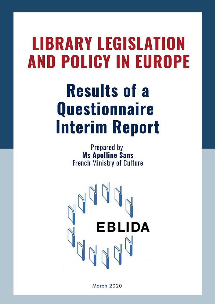# **LIBRARY LEGISLATION AND POLICY IN EUROPE**

# **Results of a Questionnaire Interim Report**

Prepared by **Ms Apolline Sans French Ministry of Culture** 



March 2020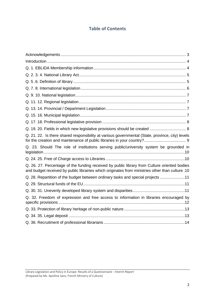# **Table of Contents**

| Q. 19. 20. Fields in which new legislative provisions should be created  8                                                                                                                       |
|--------------------------------------------------------------------------------------------------------------------------------------------------------------------------------------------------|
| Q. 21. 22. Is there shared responsibility at various governmental (State, province, city) levels                                                                                                 |
| Q. 23. Should The role of institutions serving public/university system be grounded in                                                                                                           |
|                                                                                                                                                                                                  |
| Q. 26. 27. Percentage of the funding received by public library from Culture oriented bodies<br>and budget received by public librairies which originates from ministries other than culture .10 |
| Q. 28. Repartition of the budget between ordinary tasks and special projects 11                                                                                                                  |
|                                                                                                                                                                                                  |
|                                                                                                                                                                                                  |
| Q. 32. Freedom of expression and free access to information in libraries encouraged by                                                                                                           |
|                                                                                                                                                                                                  |
|                                                                                                                                                                                                  |
|                                                                                                                                                                                                  |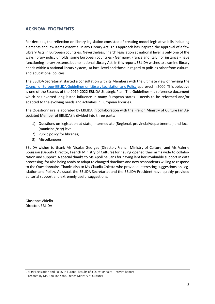# <span id="page-2-0"></span>**ACKNOWLEDGEMENTS**

For decades, the reflection on library legislation consisted of creating model legislative bills including elements and law items essential in any Library Act. This approach has inspired the approval of a few Library Acts in European countries. Nevertheless, "hard" legislation at national level is only one of the ways library policy unfolds; some European countries - Germany, France and Italy, for instance - have functioning library systems, but no national Library Act. In this report, EBLIDA wishesto examine library needs within a national library system, at local level and those in regard to policies other from cultural and educational policies.

The EBLIDA Secretariat started a consultation with its Members with the ultimate view of revising the [Council of Europe-EBLIDA Guidelines on Library Legislation and Policy](http://www.eblida.org/Documents/Council-of-Europe-EBLIDA-Guidelines-on-Library-Legislation-and-Policy-in-Europe.pdf) approved in 2000. This objective is one of the Strands of the 2019-2022 EBLIDA Strategic Plan. The Guidelines – a reference document which has exerted long-lasted influence in many European states – needs to be reformed and/or adapted to the evolving needs and activities in European libraries.

The Questionnaire, elaborated by EBLIDA in collaboration with the French Ministry of Culture (an Associated Member of EBLIDA) is divided into three parts:

- 1) Questions on legislation at state, intermediate (Regional, provincial/departmental) and local (municipal/city) level:
- 2) Public policy for libraries;
- 3) Miscellaneous.

EBLIDA wishes to thank Mr Nicolas Georges (Director, French Ministry of Culture) and Ms Valérie Bouissou (Deputy Director, French Ministry of Culture) for having opened their arms wide to collaboration and support. A special thanks to Ms Apolline Sans for having lent her invaluable support in data processing, for also being ready to adapt to changed timelines and new respondents willing to respond to the Questionnaire. Thanks also to Ms Claudia Coletta who provided interesting suggestions on Legislation and Policy. As usual, the EBLIDA Secretariat and the EBLIDA President have quickly provided editorial support and extremely useful suggestions.

Giuseppe Vitiello Director, EBLIDA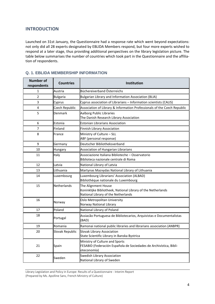# <span id="page-3-0"></span>**INTRODUCTION**

Launched on 31st January, the Questionnaire had a response rate which went beyond expectations: not only did all 28 experts designated by EBLIDA Members respond, but four more experts wished to respond at a later stage, thus providing additional perspectives on the library legislation picture. The table below summarises the number of countries which took part in the Questionnaire and the affiliation of respondents.

| <b>Number of</b><br>respondents | <b>Countries</b>   | Institution                                                                                                                |  |
|---------------------------------|--------------------|----------------------------------------------------------------------------------------------------------------------------|--|
| 1                               | Austria            | Büchereiverband Österreichs                                                                                                |  |
| $\overline{2}$                  | <b>Bulgaria</b>    | Bulgarian Library and Information Association (BLIA)                                                                       |  |
| 3                               | Cyprus             | Cyprus association of Librarians - Information scientists (CALIS)                                                          |  |
| 4                               | Czech Republic     | Association of Library & Information Professionals of the Czech Republic                                                   |  |
| 5                               | Denmark            | Aalborg Public Libraries<br>The Danish Research Library Association                                                        |  |
| 6                               | Estonia            | <b>Estonian Librarians Association</b>                                                                                     |  |
| 7                               | Finland            | Finnish Library Association                                                                                                |  |
| 8                               | France             | Ministry of Culture - SLL<br>ABF (personal response)                                                                       |  |
| 9                               | Germany            | Deutscher Bibliotheksverband                                                                                               |  |
| 10                              | Hungary            | Association of Hungarian Librarians                                                                                        |  |
| 11                              | Italy              | Associazione Italiana Biblioteche - Osservatorio<br>Biblioteca nazionale centrale di Roma                                  |  |
| 12                              | Latvia             | National Library of Latvia                                                                                                 |  |
| 13                              | Lithuania          | Martynas Mazvydas National Library of Lithuania                                                                            |  |
| 14                              | Luxembourg         | Luxembourg Librarians' Association (ALBAD)<br>Bibliothèque nationale du Luxembourg                                         |  |
| 15                              | <b>Netherlands</b> | The Alignment House<br>Koninklijke Bibliotheek, National Library of the Netherlands<br>National Library of the Netherlands |  |
| 16                              | Norway             | Oslo Metropolitan University<br>Norway National Library                                                                    |  |
| 17                              | Poland             | National Library of Poland                                                                                                 |  |
| 18                              | Portugal           | Assiação Portuguesa de Bibliotecarios, Arquivistas e Documentalistas<br>(BAD)                                              |  |
| 19                              | Romania            | Ramonai national public libraries and librarians association (ANBPR)                                                       |  |
| 20                              | Slovak Republic    | Slovak Library Association<br>State Scientific Library in Banska Bystrica                                                  |  |
| 21                              | Spain              | Ministry of Culture and Sports<br>FESABID (Federación Española de Sociedades de Archivística, Bibli-<br>oteconomía)        |  |
| 22                              | Sweden             | Swedish Library Association<br>National Library of Sweden                                                                  |  |

#### <span id="page-3-1"></span>**Q. 1. EBLIDA MEMBERSHIP INFORMATION**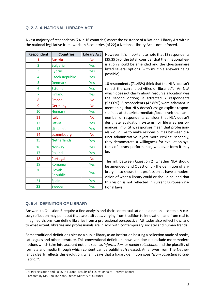# <span id="page-4-0"></span>**Q. 2. 3. 4. NATIONAL LIBRARY ACT**

| A vast majority of respondents (24 in 16 countries) assert the existence of a National Library Act within |  |
|-----------------------------------------------------------------------------------------------------------|--|
| the national legislative framework. In 6 countries (of 22) a National Library Act is not enforced.        |  |

| <b>Respondent</b> | <b>Countries</b>          | <b>Library Act</b> |
|-------------------|---------------------------|--------------------|
| 1                 | Austria                   | <b>No</b>          |
| $\overline{2}$    | <b>Bulgaria</b>           | Yes                |
| 3                 | Cyprus                    | Yes                |
| 4                 | <b>Czech Republic</b>     | Yes                |
| 5                 | <b>Denmark</b>            | Yes                |
| 6                 | Estonia                   | Yes                |
| 7                 | <b>Finland</b>            | Yes                |
| 8                 | <b>France</b>             | <b>No</b>          |
| 9                 | Germany                   | <b>No</b>          |
| 10                | <b>Hungary</b>            | Yes                |
| 11                | Italy                     | <b>No</b>          |
| 12                | Latvia                    | Yes                |
| 13                | Lithuania                 | Yes                |
| 14                | Luxembourg                | <b>No</b>          |
| 15                | <b>Netherlands</b>        | Yes                |
| 16                | <b>Norway</b>             | Yes                |
| 17                | Poland                    | Yes                |
| 18                | Portugal                  | <b>No</b>          |
| 19                | Romania                   | Yes                |
| 20                | <b>Slovak</b><br>Republic | Yes                |
| $\overline{21}$   | Spain                     | Yes                |
| 22                | Sweden                    | Yes                |

However, it is important to note that 13 respondents (39.39 % of the total) consider that their national legislation should be amended and the Questionnaire listed several options (with multiple answers being possible).

10 respondents (71.43%) think that the NLA "doesn't reflect the current activities of libraries". An NLA which does not clarify about resource allocation was the second option; it attracted 7 respondents (53.00%). 6 respondents (42.86%) were adamant in mentioning that NLA doesn't assign explicit responsibilities at state/intermediate/local level; the same number of respondents consider that NLA doesn't designate evaluation systems for libraries performances. Implicitly, responses mean that professionals would like to make responsibilities between distinct administrative layers more explicit; secondly, they demonstrate a willingness for evaluation systems of library performance, whatever form it may be.

The link between Question 2 (whether NLA should be amended) and Question 5 - the definition of a library - also shows that professionals have a modern vision of what a library could or should be, and that this vision is not reflected in current European national laws.

# <span id="page-4-1"></span>**Q. 5 .6. DEFINITION OF LIBRARY**

Answers to Question 5 require a fine analysis and their contextualisation in a national context. A cursory reflection may point out that two attitudes, varying from tradition to innovation, and from real to imagined visions, can define libraries from a professional perspective. Attitudes also reflect how, and to what extent, libraries and professionals are in sync with contemporary societal and human trends.

Some traditional definitions picture a public library as an institution hosting a collection made of books, catalogues and other literature. This conventional definition, however, doesn't exclude more modern notions which take into account notions such as *information,* or *media collections,* and the plurality of formats and media through which content can be published/released. An answer from The Netherlands clearly reflects this evolution, when it says that a library definition goes "*from collection to connection*".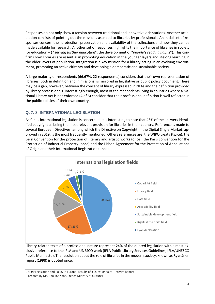Responses do not only show a tension between traditional and innovative orientations. Another articulation consists of pointing out the missions ascribed to libraries by professionals. An initial set of responses concern the "protection, preservation and availability of the collections and how they can be made available for research. Another set of responses highlights the importance of libraries in society for education – ( "*serving further education*", the development of "*people's reading habits*"). This confirms how libraries are essential in promoting education in the younger layers and lifelong learning in the older layers of population. Integration is a key mission for a library acting in an evolving environment, promoting an active citizenry and developing a democratic and sustainable society.

A large majority of respondents (66.67%, 22 respondents) considers that their own representation of libraries, both in definition and in missions, is mirrored in legislative or public policy document. There may be a gap, however, between the concept of library expressed in NLAs and the definition provided by library professionals. Interestingly enough, most of the respondents living in countries where a National Library Act is not enforced (4 of 6) consider that their professional definition is well reflected in the public policies of their own country.

# <span id="page-5-0"></span>**Q. 7. 8. INTERNATIONAL LEGISLATION**

As far as international legislation is concerned, it is interesting to note that 45% of the answers identified copyright as being the most relevant provision for libraries in their country. Reference is made to several European Directives, among which the Directive on Copyright in the Digital Single Market, approved in 2019, is the most frequently mentioned. Others references are: the WIPO treaty (twice), the Bern Convention for the protection of literary and artistic works (once), the Paris convention for the Protection of Industrial Property (once) and the Lisbon Agreement for the Protection of Appellations of Origin and their International Registration (once).



Library-related texts of a professional nature represent 24% of the quoted legislation with almost exclusive reference to the IFLA and UNESCO work (IFLA Public Library Services Guidelines, IFLA/UNESCO Public Manifesto). The resolution about the role of libraries in the modern society, known as Ryynänen report (1998) is quoted once.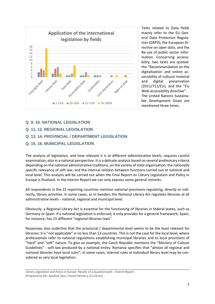

Texts related to Data fields mainly refer to the EU General Data Protection Regulation (GRPD), the European Directive on open data, and the Re-use of public sector information. Concerning accessibility, two texts are quoted: the "Recommendation on the digitalization and online accessibility of cultural material and digital preservation (2011/711/EU), and the "EU Web accessibility directive". The United Nations Sustainable Development Goals are mentioned three times.

# <span id="page-6-0"></span>**Q. 9. 10. NATIONAL LEGISLATION**

# <span id="page-6-1"></span>**Q. 11. 12. REGIONAL LEGISLATION**

# <span id="page-6-2"></span>**Q. 13. 14. PROVINCIAL / DEPARTMENT LEGISLATION**

#### <span id="page-6-3"></span>**Q. 15. 16. MUNICIPAL LEGISLATION**

The analysis of legislation, and how relevant it is at different administrative levels, requires careful examination, also in a national perspective. It is a delicate analysis based on several preliminary criteria depending on the national administrative traditions, on the variety of state organisation, the nationally specific relevance of soft law, and the internal relation between functions carried out at national and local level. This analysis will be carried out when the Final Report on Library Legislation and Policy in Europe is finalised. In the Interim Report we can only express some general remarks.

All respondents in the 22 reporting countries mention national provisions regulating, directly or indirectly, library activities. In some cases, as in Sweden, the National Library Act regulates libraries at all administrative levels - national, regional and municipal level.

Obviously, a Regional Library Act is essential for the functioning of libraries in federal states, such as Germany or Spain. If a national legislation is enforced, it only provides for a general framework; Spain, for instance, has 15 different "regional libraries laws".

Responses also underline that the provincial / departmental level seems to be the least relevant for libraries: it is "not applicable" in no less than 13 countries. This is not the case for the local level, where professionals refer to national regulations establishing municipal libraries and to local provisions of "hard" and "soft" nature. To give an example, the Czech Republic mentions the "Ministry of Culture Guidelines" - soft law produced by a national entity. Romania specifies that "almost all regional and national libraries have local rules"; in some cases, internal rules at individual library level may be considered as very local legislation.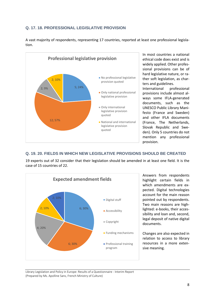# <span id="page-7-0"></span>**Q. 17. 18. PROFESSIONAL LEGISLATIVE PROVISION**





In most countries a national ethical code does exist and is widely applied. Other professional provisions can be of hard legislative nature, or rather soft legislation, as charters and guidelines.

International professional provisions include almost always some IFLA-generated documents, such as the UNESCO Public Library Manifesto (France and Sweden) and other IFLA documents (France, The Netherlands, Slovak Republic and Sweden). Only 5 countries do not mention any professional provision.

### <span id="page-7-1"></span>**Q. 19. 20. FIELDS IN WHICH NEW LEGISLATIVE PROVISIONS SHOULD BE CREATED**

19 experts out of 32 consider that their legislation should be amended in at least one field. It is the case of 15 countries of 22.



Answers from respondents highlight certain fields in which amendments are expected. Digital technologies account for the main reason pointed out by respondents. Two main reasons are highlighted: e-books, their accessibility and loan and, second, legal deposit of native digital documents.

Changes are also expected in relation to access to library resources in a more extensive meaning.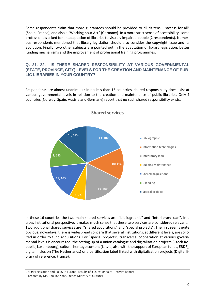Some respondents claim that more guarantees should be provided to all citizens - "access for all" (Spain, France), and also a "Working hour Act" (Germany). In a more strict sense of accessibility, some professionals asked for an adaptation of libraries to visually impaired people (2 respondents). Numerous respondents mentioned that library legislation should also consider the copyright issue and its evolution. Finally, two other subjects are pointed out in the adaptation of library legislation: better funding mechanisms and the improvement of professional training programmes.

# <span id="page-8-0"></span>**Q. 21. 22. IS THERE SHARED RESPONSIBILITY AT VARIOUS GOVERNMENTAL (STATE, PROVINCE, CITY) LEVELS FOR THE CREATION AND MAINTENANCE OF PUB-LIC LIBRARIES IN YOUR COUNTRY?**

Respondents are almost unanimous: in no less than 16 countries, shared responsibility does exist at various governmental levels in relation to the creation and maintenance of public libraries. Only 4 countries (Norway, Spain, Austria and Germany) report that no such shared responsibility exists.



In these 16 countries the two main shared services are: "bibliographic" and "interlibrary loan". In a cross institutional perspective, it makes much sense that these two services are considered relevant. Two additional shared services are: "shared acquisitions" and "special projects". The first seems quite obvious: nowadays, there is widespread concern that several institutions, at different levels, are solicited in order to fund acquisitions. For "special projects", transversal cooperation at various governmental levels is encouraged: the setting up of a union catalogue and digitalization projects (Czech Republic, Luxembourg), cultural heritage content (Latvia, also with the support of European funds, ERDF), digital inclusion (The Netherlands) or a certification label linked with digitalization projects (Digital library of reference, France).

Library Legislation and Policy in Europe: Results of a Questionnaire - Interim Report (Prepared by Ms. Apolline Sans, French Ministry of Culture)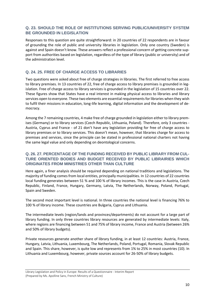# <span id="page-9-0"></span>**Q. 23. SHOULD THE ROLE OF INSTITUTIONS SERVING PUBLIC/UNIVERSITY SYSTEM BE GROUNDED IN LEGISLATION**

Responses to this question are quite straightforward: in 20 countries of 22 respondents are in favour of grounding the role of public and university libraries in legislation. Only one country (Sweden) is against and Spain doesn't know. These answers reflect a professional concern of getting concrete support from authorities based on legislation, regardless of the type of library (public or university) and of the administration level.

# <span id="page-9-1"></span>**Q. 24. 25. FREE OF CHARGE ACCESS TO LIBRARIES**

Two questions were asked about free of charge strategies in libraries. The first referred to free access to library premises. In 13 countries of 22, free of charge access to library premises is grounded in legislation. Free of charge access to library services is grounded in the legislation of 15 countries over 22. These figures show that States have a real interest in making physical access to libraries and library services open to everyone. These two elements are essential requirements for libraries when they wish to fulfil their missions in education, long-life learning, digital information and the development of democracy.

Among the 7 remaining countries, 4 make free of charge grounded in legislation either to library premises (Germany) or to library services (Czech Republic, Lithuania, Poland). Therefore, only 3 countries - Austria, Cyprus and France - of 21 don't have any legislation providing for free of charge access to library premises or to library services. This doesn't mean, however, that libraries charge for access to premises and services, since the principle can be stated in professional national charters not having the same legal value and only depending on deontological concerns.

## <span id="page-9-2"></span>**Q. 26. 27. PERCENTAGE OF THE FUNDING RECEIVED BY PUBLIC LIBRARY FROM CUL-TURE ORIENTED BODIES AND BUDGET RECEIVED BY PUBLIC LIBRAIRIES WHICH ORIGINATES FROM MINISTRIES OTHER THAN CULTURE**

Here again, a finer analysis should be required depending on national traditions and legislations. The majority of funding comes from local entities, principally municipalities. In 12 countries of 22 countries local funding generates between 51 % and 100 % of library incomes. This is the case in Austria, Czech Republic, Finland, France, Hungary, Germany, Latvia, The Netherlands, Norway, Poland, Portugal, Spain and Sweden.

The second most important level is national. In three countries the national level is financing 76% to 100 % of library income. These countries are Bulgaria, Cyprus and Lithuania.

The intermediate levels (region/lands and provinces/departments) do not account for a large part of library funding. In only three countries library resources are generated by intermediate levels: Italy, where regions are financing between 51 and 75% of library income, France and Austria (between 26% and 50% of library budgets).

Private resources generate another share of library funding, in at least 12 countries: Austria, France, Hungary, Latvia, Lithuania, Luxembourg, The Netherlands, Poland, Portugal, Romania, Slovak Republic and Spain. This share, however, is quite low and represents from 1% to 25% in most countries (10). In Lithuania and Luxembourg, however, private sources account for 26-50% of library budgets.

Library Legislation and Policy in Europe: Results of a Questionnaire - Interim Report (Prepared by Ms. Apolline Sans, French Ministry of Culture)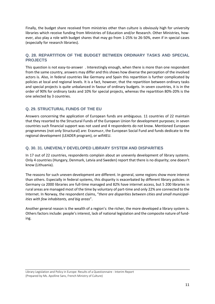Finally, the budget share received from ministries other than culture is obviously high for university libraries which receive funding from Ministries of Education and/or Research. Other Ministries, however, also play a role with budget shares that may go from 1-25% to 26-50%, even if in special cases (especially for research libraries).

# <span id="page-10-0"></span>**Q. 28. REPARTITION OF THE BUDGET BETWEEN ORDINARY TASKS AND SPECIAL PROJECTS**

This question is not easy-to-answer . Interestingly enough, when there is more than one respondent from the same country, answers may differ and this shows how diverse the perception of the involved actors is. Also, in federal countries like Germany and Spain this repartition is further complicated by policies at local and regional levels. It is a fact, however, that the repartition between ordinary tasks and special projects is quite unbalanced in favour of ordinary budgets. In seven countries, it is in the order of 90% for ordinary tasks and 10% for special projects, whereas the repartition 80%-20% is the one selected by 3 countries.

# <span id="page-10-1"></span>**Q. 29. STRUCTURAL FUNDS OF THE EU**

Answers concerning the application of European funds are ambiguous. 11 countries of 22 maintain that they resorted to the Structural Funds of the European Union for development purposes; in seven countries such financial support was not used and 4 respondents do not know. Mentioned European programmes (not only Structural) are: Erasmus+, the European Social Fund and funds dedicate to the regional development (LEADER program), or wifi4EU.

# <span id="page-10-2"></span>**Q. 30. 31. UNEVENLY DEVELOPED LIBRARY SYSTEM AND DISPARITIES**

In 17 out of 22 countries, respondents complain about an unevenly development of library systems. Only 4 countries (Hungary, Denmark, Latvia and Sweden) report that there is no disparity; one doesn't know (Lithuania).

The reasons for such uneven development are different. In general, some regions show more interest than others. Especially in federal systems, this disparity is exacerbated by different library policies: in Germany ca 2000 libraries are full-time managed and 82% have internet access, but 5 200 libraries in rural areas are managed most of the time by voluntary of part-time and only 22% are connected to the Internet. In Norway, the respondent claims, "*there are disparities between cities and small municipalities with few inhabitants, and big areas*".

Another general reason is the wealth of a region's: the richer, the more developed a library system is. Others factors include: people's interest, lack of national legislation and the composite nature of funding.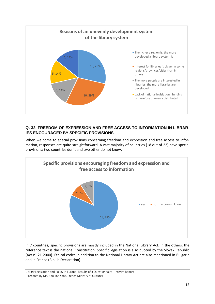

# <span id="page-11-0"></span>**Q. 32. FREEDOM OF EXPRESSION AND FREE ACCESS TO INFORMATION IN LIBRAR-IES ENCOURAGED BY SPECIFIC PROVISIONS**

When we come to special provisions concerning freedom and expression and free access to information, responses are quite straightforward. A vast majority of countries (18 out of 22) have special provisions; two countries don't and two other do not know.



In 7 countries, specific provisions are mostly included in the National Library Act. In the others, the reference text is the national Constitution. Specific legislation is also quoted by the Slovak Republic (Act n° 21-2000). Ethical codes in addition to the National Library Act are also mentioned in Bulgaria and in France (Bib'lib Declaration).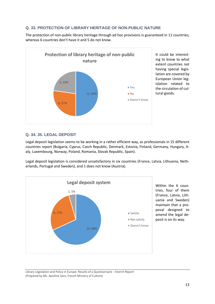# <span id="page-12-0"></span>**Q. 33. PROTECTION OF LIBRARY HERITAGE OF NON-PUBLIC NATURE**

The protection of non-public library heritage through ad hoc provisions is guaranteed in 11 countries; whereas 6 countries don't have it and 5 do not know.



It could be interesting to know to what extent countries not having special legislation are covered by European Union legislation related to the circulation of cultural goods.

# <span id="page-12-1"></span>**Q. 34. 35. LEGAL DEPOSIT**

Legal deposit legislation seems to be working in a rather efficient way, as professionals in 15 different countries report (Bulgaria, Cyprus, Czech Republic, Denmark, Estonia, Finland, Germany, Hungary, Italy, Luxembourg, Norway, Poland, Romania, Slovak Republic, Spain).

Legal deposit legislation is considered unsatisfactory in six countries (France, Latvia, Lithuania, Netherlands, Portugal and Sweden), and 1 does not know (Austria).



Within the 6 countries, four of them (France, Latvia, Lithuania and Sweden) maintain that a proposal designed to amend the legal deposit is on its way.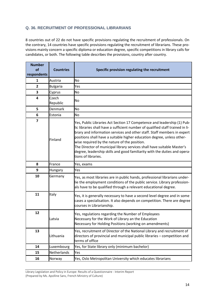# <span id="page-13-0"></span>**Q. 36. RECRUITMENT OF PROFESSIONAL LIBRARIANS**

8 countries out of 22 do not have specific provisions regulating the recruitment of professionals. On the contrary, 14 countries have specific provisions regulating the recruitment of librarians. These provisions mainly concern a specific diploma or education degree, specific competitions in library calls for candidates, or both. The following table describes the provisions, country after country.

| <b>Number</b>            |                   |                                                                                                                                                                                                                                                                                                                                                                                                                                                                                                                                               |
|--------------------------|-------------------|-----------------------------------------------------------------------------------------------------------------------------------------------------------------------------------------------------------------------------------------------------------------------------------------------------------------------------------------------------------------------------------------------------------------------------------------------------------------------------------------------------------------------------------------------|
| <b>of</b><br>respondents | <b>Countries</b>  | Specific provision regulating the recruitment                                                                                                                                                                                                                                                                                                                                                                                                                                                                                                 |
| 1                        | Austria           | No                                                                                                                                                                                                                                                                                                                                                                                                                                                                                                                                            |
| 2                        | <b>Bulgaria</b>   | Yes                                                                                                                                                                                                                                                                                                                                                                                                                                                                                                                                           |
| 3                        | Cyprus            | <b>No</b>                                                                                                                                                                                                                                                                                                                                                                                                                                                                                                                                     |
| 4                        | Czech<br>Republic | No                                                                                                                                                                                                                                                                                                                                                                                                                                                                                                                                            |
| 5                        | <b>Denmark</b>    | <b>No</b>                                                                                                                                                                                                                                                                                                                                                                                                                                                                                                                                     |
| 6                        | Estonia           | <b>No</b>                                                                                                                                                                                                                                                                                                                                                                                                                                                                                                                                     |
| $\overline{7}$           | Finland           | Yes, Public Libraries Act Section 17 Competence and leadership (1) Pub-<br>lic libraries shall have a sufficient number of qualified staff trained in li-<br>brary and information services and other staff. Staff members in expert<br>positions shall have a suitable higher education degree, unless other-<br>wise required by the nature of the position.<br>The Director of municipal library services shall have suitable Master's<br>degree, leadership skills and good familiarity with the duties and opera-<br>tions of libraries. |
| 8                        | France            | Yes, exams                                                                                                                                                                                                                                                                                                                                                                                                                                                                                                                                    |
| 9                        | Hungary           | Yes                                                                                                                                                                                                                                                                                                                                                                                                                                                                                                                                           |
| 10                       | Germany           | Yes, as most libraries are in public hands, professional librarians under-<br>lie the employment conditions of the public service. Library profession-<br>als have to be qualified through a relevant educational degree.                                                                                                                                                                                                                                                                                                                     |
| 11                       | Italy             | Yes, it is generally necessary to have a second level degree and in some<br>cases a specialisation. It also depends on competition. There are degree<br>courses in Librarianship.                                                                                                                                                                                                                                                                                                                                                             |
| 12                       | Latvia            | Yes, regulations regarding the Number of Employees<br>Necessary for the Work of Library an the Education<br>Necessary for Holding Positions (working on amendments)                                                                                                                                                                                                                                                                                                                                                                           |
| 13                       | Lithuania         | Yes, recruitment of Director of the National Library and recruitment of<br>directors of provincial and municipal public libraries - competition and<br>terms of office                                                                                                                                                                                                                                                                                                                                                                        |
| 14                       | Luxembourg        | Yes, for State library only (minimum bachelor)                                                                                                                                                                                                                                                                                                                                                                                                                                                                                                |
| 15                       | Netherlands       | Yes                                                                                                                                                                                                                                                                                                                                                                                                                                                                                                                                           |
| 16                       | Norway            | Yes, Oslo Metropolitan University which educates librarians                                                                                                                                                                                                                                                                                                                                                                                                                                                                                   |